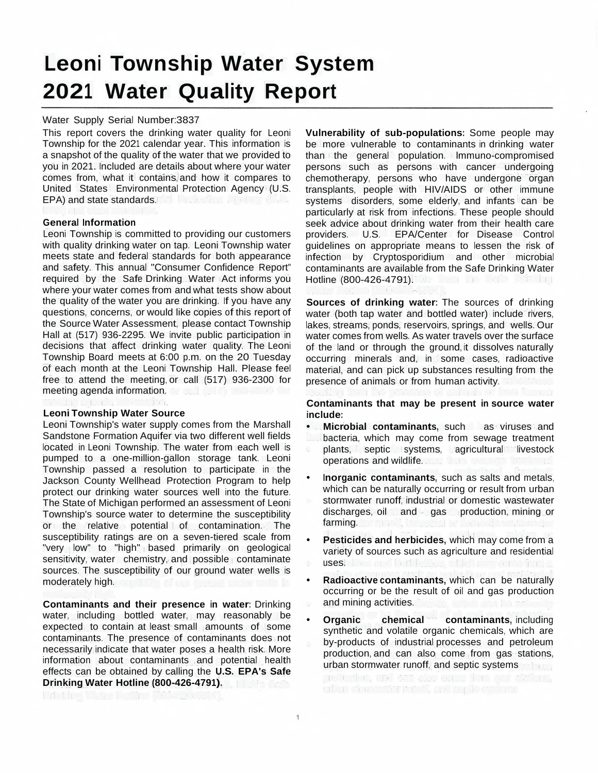# **Leoni Township Water System 2021 Water Quality Report**

#### Water Supply Serial Number:3837

This report covers the drinking water quality for Leoni Township for the 2021 calendar year. This information is a snapshot of the quality of the water that we provided to you in 2021. Included are details about where your water comes from, what it contains, and how it compares to United States Environmental Protection Agency (U.S. EPA) and state standards. The latter state of the contract of the contract of the contract of the contract of the contract of the contract of the contract of the contract of the contract of the contract of the contract of

#### **General Information**

Leoni Township is committed to providing our customers with quality drinking water on tap. Leoni Township water meets state and federal standards for both appearance and safety. This annual "Consumer Confidence Report" required by the Safe Drinking Water Act informs you where your water comes from and what tests show about the quality of the water you are drinking. If you have any questions, concerns, or would like copies of this report of the Source Water Assessment, please contact Township Hall at (517) 936-2295. We invite public participation in decisions that affect drinking water quality. The Leoni Township Board meets at 6:00 p.m. on the 20 Tuesday of each month at the Leoni Township Hall. Please feel free to attend the meeting, or call (517) 936-2300 for meeting agenda information.

#### **Leoni Township Water Source**

Leoni Township's water supply comes from the Marshall Sandstone Formation Aquifer via two different well fields located in Leoni Township. The water from each well is pumped to a one-million-gallon storage tank. Leoni Township passed a resolution to participate in the Jackson County Wellhead Protection Program to help protect our drinking water sources well into the future. The State of Michigan performed an assessment of Leoni Township's source water to determine the susceptibility or the relative potential of contamination. The susceptibility ratings are on a seven-tiered scale from "very low" to "high" based primarily on geological sensitivity, water chemistry, and possible contaminate sources. The susceptibility of our ground water wells is moderately high. m filir efnu a myð varður salén in

**Contaminants and their presence in water:** Drinking water, including bottled water, may reasonably be expected to contain at least small amounts of some contaminants. The presence of contaminants does not necessarily indicate that water poses a health risk. More information about contaminants and potential health effects can be obtained by calling the **U.S. EPA's Safe Drinking Water Hotline (800-426-4791).**

**Vulnerability of sub-populations:** Some people may be more vulnerable to contaminants in drinking water than the general population. lmmuno-compromised persons such as persons with cancer undergoing chemotherapy, persons who have undergone organ transplants, people with HIV/AIDS or other immune systems disorders, some elderly, and infants can be particularly at risk from infections. These people should seek advice about drinking water from their health care<br>providers. U.S. EPA/Center for Disease Control EPA/Center for Disease Control guidelines on appropriate means to lessen the risk of infection by Cryptosporidium and other microbial contaminants are available from the Safe Drinking Water<br>Hotline (800-426-4791) Hotline (800-426-4791).

**Sources of drinking water:** The sources of drinking water (both tap water and bottled water) include rivers, lakes, streams, ponds, reservoirs, springs, and wells. Our water comes from wells. As water travels over the surface of the land or through the ground, it dissolves naturally occurring minerals and, in some cases, radioactive material, and can pick up substances resulting from the presence of animals or from human activity.

**Contaminants that may be present in source water include:**

- **• Microbial contaminants,** such as viruses and bacteria, which may come from sewage treatment plants, septic systems, agricultural livestock operations and wildlife.
- **• Inorganic contaminants,** such as salts and metals, which can be naturally occurring or result from urban stormwater runoff, industrial or domestic wastewater discharges, oil and gas production, mining or farming. The state of the state of the state of
- **• Pesticides and herbicides,** which may come from a variety of sources such as agriculture and residential uses. I can allegal plants of the property
- **• Radioactive contaminants,** which can be naturally occurring or be the result of oil and gas production and mining activities.
- **Organic** chemical contaminants, including synthetic and volatile organic chemicals, which are by-products of industrial processes and petroleum production, and can also come from gas stations, urban stormwater runoff, and septic systems

and the smilest was comed the east ability. utar dan stehen refused ter Tomberg

 $\overline{1}$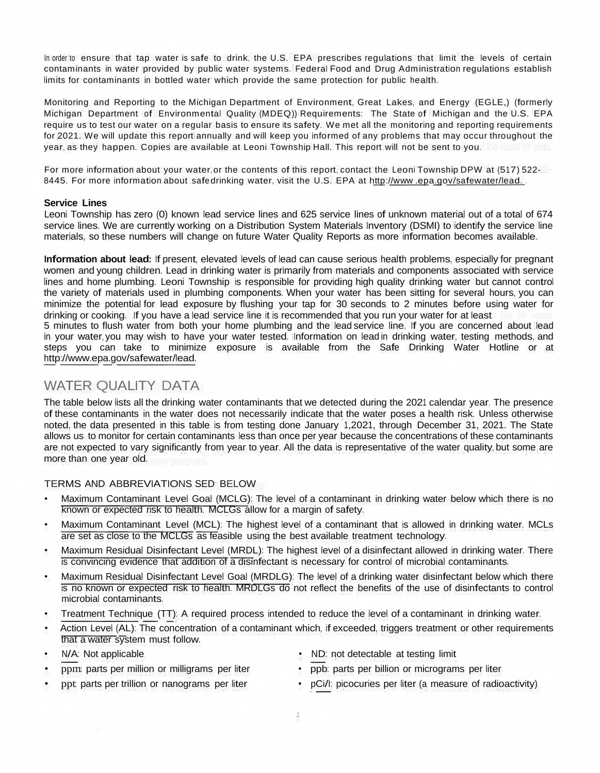In order to ensure that tap water is safe to drink, the U.S. EPA prescribes regulations that limit the levels of certain contaminants in water provided by public water systems. Federal Food and Drug Administration regulations establish limits for contaminants in bottled water which provide the same protection for public health.

Monitoring and Reporting to the Michigan Department of Environment, Great Lakes, and Energy (EGLE,) (formerly Michigan Department of Environmental Quality (MDEQ)) Requirements: The State of Michigan and the U.S. EPA require us to test our water on a regular basis to ensure its safety. We met all the monitoring and reporting requirements for 2021. We will update this report annually and will keep you informed of any problems that may occur throughout the year, as they happen. Copies are available at Leoni Township Hall. This report will not be sent to you.

For more information about your water, or the contents of this report, contact the Leoni Township DPW at (517) 522- 8445. For more information about safe drinking water, visit the U.S. EPA at [http://www](http://www/) .epa.gov/safewater/lead.

#### **Service Lines**

Leoni Township has zero (0) known lead service lines and 625 service lines of unknown material out of a total of 674 service lines. We are currently working on a Distribution System Materials Inventory (DSMI) to identify the service line materials, so these numbers will change on future Water Quality Reports as more information becomes available.

**Information about lead:** If present, elevated levels of lead can cause serious health problems, especially for pregnant women and young children. Lead in drinking water is primarily from materials and components associated with service lines and home plumbing. Leoni Township is responsible for providing high quality drinking water but cannot control the variety of materials used in plumbing components. When your water has been sitting for several hours, you can minimize the potential for lead exposure by flushing your tap for 30 seconds to 2 minutes before using water for drinking or cooking. If you have a lead service line it is recommended that you run your water for at least 5 minutes to flush water from both your home plumbing and the lead service line. If you are concerned about lead

in your water, you may wish to have your water tested. Information on lead in drinking water, testing methods, and steps you can take to minimize exposure is available from the Safe Drinking Water Hotline or at [http://www.epa.gov/safewater/lead.](http://www.epa.gov/safewater/lead)

## WATER QUALITY DATA

The table below lists all the drinking water contaminants that we detected during the 2021 calendar year. The presence of these contaminants in the water does not necessarily indicate that the water poses a health risk. Unless otherwise noted, the data presented in this table is from testing done January 1,2021, through December 31, 2021. The State allows us to monitor for certain contaminants less than once per year because the concentrations of these contaminants are not expected to vary significantly from year to year. All the data is representative of the water quality, but some are more than one year old.

### TERMS AND ABBREVIATIONS SED BELOW

- Maximum Contaminant Level Goal (MCLG): The level of a contaminant in drinking water below which there is no known or expected risk to health. MCLGs allow for a margin of safety.
- Maximum Contaminant Level (MCL): The highest level of a contaminant that is allowed in drinking water. MCLs are set as close to the MCLGs as feasible using the best available treatment technology.
- Maximum Residual Disinfectant Level (MRDL): The highest level of a disinfectant allowed in drinking water. There is convincing evidence that addition of a disinfectant is necessary for control of microbial contaminants.
- Maximum Residual Disinfectant Level Goal (MRDLG): The level of a drinking water disinfectant below which there is no known or expected risk to health. MRDLGs do not reflect the benefits of the use of disinfectants to control microbial contaminants.
- Treatment Technique (TT): A required process intended to reduce the level of a contaminant in drinking water.
- Action Level (AL): The concentration of a contaminant which, if exceeded, triggers treatment or other requirements that a water system must follow.

2

- 
- ppm: parts per million or milligrams per liter
- N/A: Not applicable ND: not detectable at testing limit
	-
- ppt: parts per trillion or nanograms per liter
- ppb: parts per billion or micrograms per liter
- pCi/I: picocuries per liter (a measure of radioactivity)